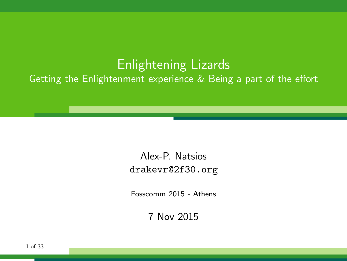### Enlightening Lizards Getting the Enlightenment experience & Being a part of the effort

#### Alex-P. Natsios <drakevr@2f30.org>

Fosscomm 2015 - Athens

7 Nov 2015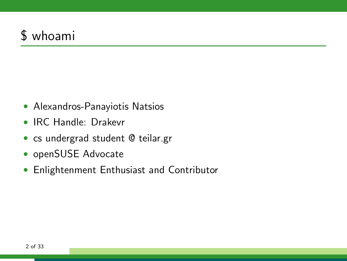# \$ whoami

- Alexandros-Panayiotis Natsios
- IRC Handle: Drakevr
- · cs undergrad student @ teilar.gr
- openSUSE Advocate
- Enlightenment Enthusiast and Contributor  $\bullet$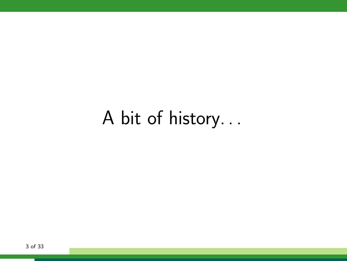# A bit of history. . .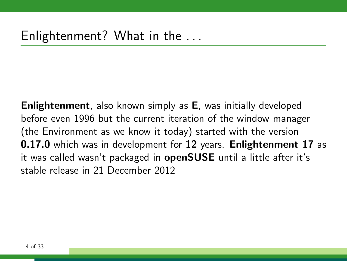Enlightenment, also known simply as E, was initially developed before even 1996 but the current iteration of the window manager (the Environment as we know it today) started with the version 0.17.0 which was in development for 12 years. Enlightenment 17 as it was called wasn't packaged in openSUSE until a little after it's stable release in 21 December 2012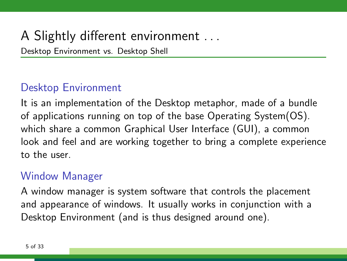# A Slightly different environment . . .

Desktop Environment vs. Desktop Shell

### Desktop Environment

It is an implementation of the Desktop metaphor, made of a bundle of applications running on top of the base Operating System(OS). which share a common Graphical User Interface (GUI), a common look and feel and are working together to bring a complete experience to the user.

#### Window Manager

A window manager is system software that controls the placement and appearance of windows. It usually works in conjunction with a Desktop Environment (and is thus designed around one).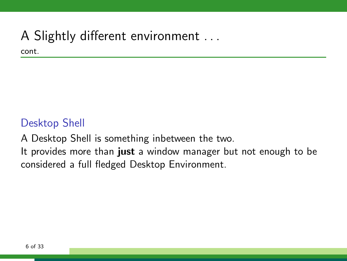# A Slightly different environment . . .

cont.

#### Desktop Shell

A Desktop Shell is something inbetween the two.

It provides more than just a window manager but not enough to be considered a full fledged Desktop Environment.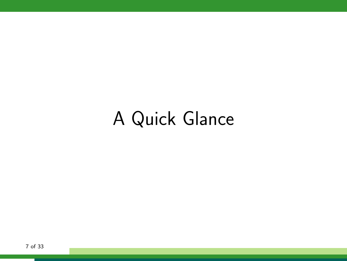# A Quick Glance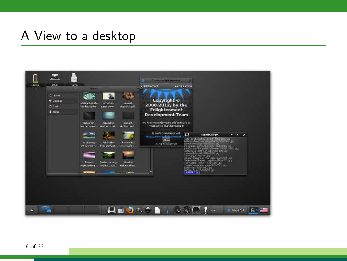### A View to a desktop

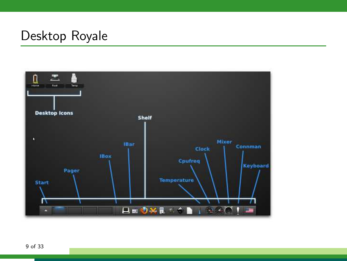## Desktop Royale

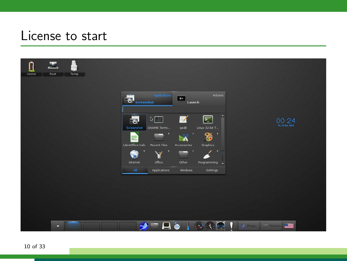## License to start

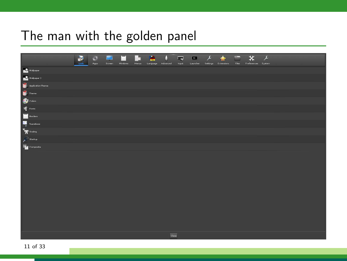# The man with the golden panel

|                                                                                                                                                                                                                                                                                                                                                                                                                         | M<br>Look | s. <sup>14</sup><br>Apps | z<br>Streen | п<br>Windows | H.<br>Menus | Language | Advanced                 | $\overline{\bullet}$<br>Irput | $\blacksquare$<br>Launcher | $\lambda$<br>Settings | $\hat{\mathbf{r}}$<br>Extensions | <b>Files</b> | $- x  x $<br>Preferences System |  |  |  |
|-------------------------------------------------------------------------------------------------------------------------------------------------------------------------------------------------------------------------------------------------------------------------------------------------------------------------------------------------------------------------------------------------------------------------|-----------|--------------------------|-------------|--------------|-------------|----------|--------------------------|-------------------------------|----------------------------|-----------------------|----------------------------------|--------------|---------------------------------|--|--|--|
| <b>Malpaper</b>                                                                                                                                                                                                                                                                                                                                                                                                         |           |                          |             |              |             |          |                          |                               |                            |                       |                                  |              |                                 |  |  |  |
| Walpaper 2                                                                                                                                                                                                                                                                                                                                                                                                              |           |                          |             |              |             |          |                          |                               |                            |                       |                                  |              |                                 |  |  |  |
| $\begin{tabular}{ c c } \hline \textbf{a} & \textbf{A} \textbf{p} \textbf{p} \textbf{b} \textbf{c} \textbf{d} \textbf{b} \textbf{c} \textbf{b} \textbf{c} \textbf{b} \textbf{c} \textbf{c} \textbf{c} \textbf{c} \textbf{c} \textbf{c} \textbf{c} \textbf{c} \textbf{c} \textbf{c} \textbf{c} \textbf{c} \textbf{c} \textbf{c} \textbf{c} \textbf{c} \textbf{c} \textbf{c} \textbf{c} \textbf{c} \textbf{c} \textbf{c}$ |           |                          |             |              |             |          |                          |                               |                            |                       |                                  |              |                                 |  |  |  |
|                                                                                                                                                                                                                                                                                                                                                                                                                         |           |                          |             |              |             |          |                          |                               |                            |                       |                                  |              |                                 |  |  |  |
|                                                                                                                                                                                                                                                                                                                                                                                                                         |           |                          |             |              |             |          |                          |                               |                            |                       |                                  |              |                                 |  |  |  |
|                                                                                                                                                                                                                                                                                                                                                                                                                         |           |                          |             |              |             |          |                          |                               |                            |                       |                                  |              |                                 |  |  |  |
|                                                                                                                                                                                                                                                                                                                                                                                                                         |           |                          |             |              |             |          |                          |                               |                            |                       |                                  |              |                                 |  |  |  |
|                                                                                                                                                                                                                                                                                                                                                                                                                         |           |                          |             |              |             |          |                          |                               |                            |                       |                                  |              |                                 |  |  |  |
|                                                                                                                                                                                                                                                                                                                                                                                                                         |           |                          |             |              |             |          |                          |                               |                            |                       |                                  |              |                                 |  |  |  |
| $\mathcal{L}^{\mathbb{O}}$ Startup                                                                                                                                                                                                                                                                                                                                                                                      |           |                          |             |              |             |          |                          |                               |                            |                       |                                  |              |                                 |  |  |  |
| Composite                                                                                                                                                                                                                                                                                                                                                                                                               |           |                          |             |              |             |          |                          |                               |                            |                       |                                  |              |                                 |  |  |  |
|                                                                                                                                                                                                                                                                                                                                                                                                                         |           |                          |             |              |             |          |                          |                               |                            |                       |                                  |              |                                 |  |  |  |
|                                                                                                                                                                                                                                                                                                                                                                                                                         |           |                          |             |              |             |          |                          |                               |                            |                       |                                  |              |                                 |  |  |  |
|                                                                                                                                                                                                                                                                                                                                                                                                                         |           |                          |             |              |             |          |                          |                               |                            |                       |                                  |              |                                 |  |  |  |
|                                                                                                                                                                                                                                                                                                                                                                                                                         |           |                          |             |              |             |          |                          |                               |                            |                       |                                  |              |                                 |  |  |  |
|                                                                                                                                                                                                                                                                                                                                                                                                                         |           |                          |             |              |             |          |                          |                               |                            |                       |                                  |              |                                 |  |  |  |
|                                                                                                                                                                                                                                                                                                                                                                                                                         |           |                          |             |              |             |          |                          |                               |                            |                       |                                  |              |                                 |  |  |  |
|                                                                                                                                                                                                                                                                                                                                                                                                                         |           |                          |             |              |             |          |                          |                               |                            |                       |                                  |              |                                 |  |  |  |
|                                                                                                                                                                                                                                                                                                                                                                                                                         |           |                          |             |              |             |          |                          |                               |                            |                       |                                  |              |                                 |  |  |  |
|                                                                                                                                                                                                                                                                                                                                                                                                                         |           |                          |             |              |             |          |                          |                               |                            |                       |                                  |              |                                 |  |  |  |
|                                                                                                                                                                                                                                                                                                                                                                                                                         |           |                          |             |              |             |          |                          |                               |                            |                       |                                  |              |                                 |  |  |  |
|                                                                                                                                                                                                                                                                                                                                                                                                                         |           |                          |             |              |             |          |                          |                               |                            |                       |                                  |              |                                 |  |  |  |
|                                                                                                                                                                                                                                                                                                                                                                                                                         |           |                          |             |              |             |          | $\overline{\text{Chos}}$ |                               |                            |                       |                                  |              |                                 |  |  |  |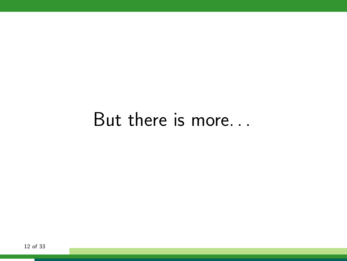# But there is more...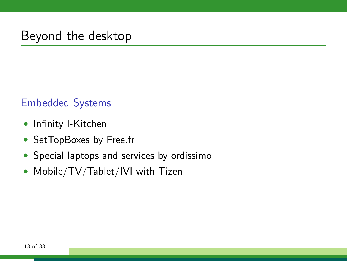## Beyond the desktop

#### Embedded Systems

- Infinity I-Kitchen
- SetTopBoxes by Free.fr
- Special laptops and services by ordissimo
- Mobile/TV/Tablet/IVI with Tizen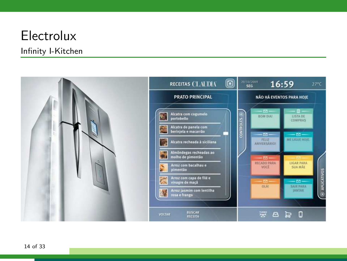# Electrolux

#### Infinity I-Kitchen

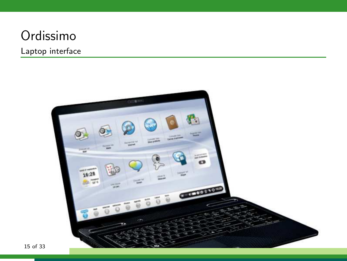# Ordissimo

#### Laptop interface

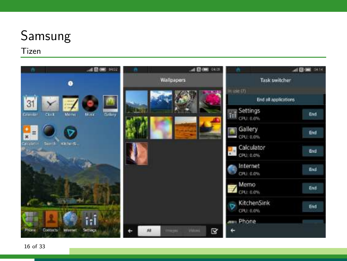# Samsung

#### **Tizen**

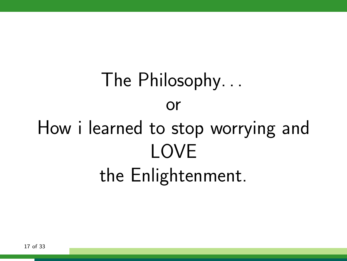# The Philosophy. . . or How i learned to stop worrying and LOVE the Enlightenment.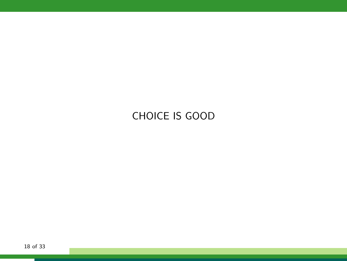#### CHOICE IS GOOD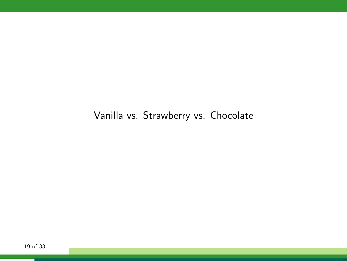Vanilla vs. Strawberry vs. Chocolate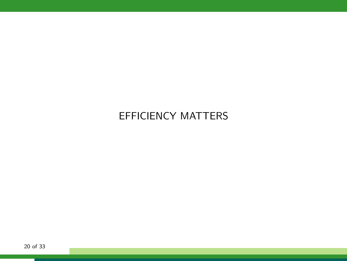#### EFFICIENCY MATTERS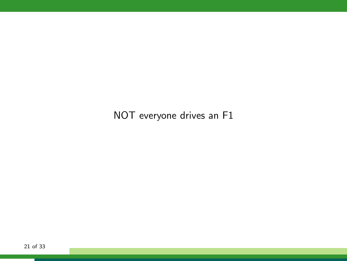NOT everyone drives an F1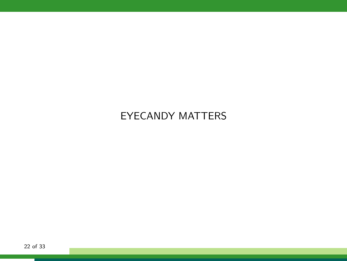#### EYECANDY MATTERS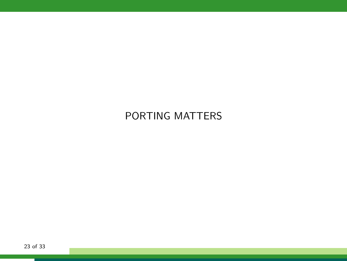#### PORTING MATTERS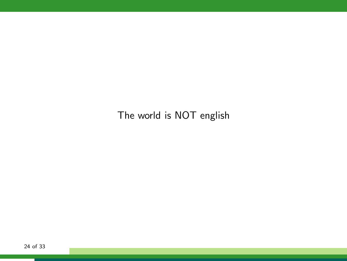The world is NOT english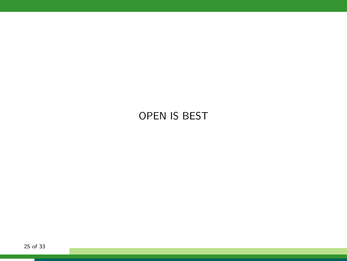#### OPEN IS BEST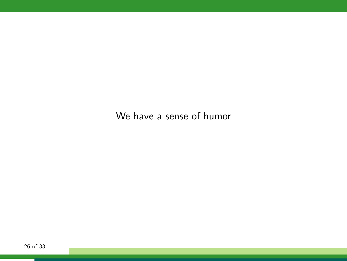We have a sense of humor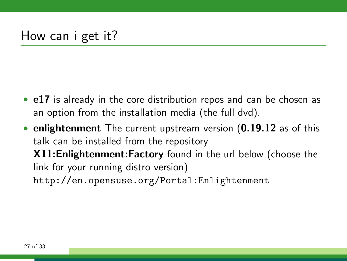- e17 is already in the core distribution repos and can be chosen as an option from the installation media (the full dvd).
- enlightenment The current upstream version (0.19.12 as of this talk can be installed from the repository X11:Enlightenment:Factory found in the url below (choose the link for your running distro version) <http://en.opensuse.org/Portal:Enlightenment>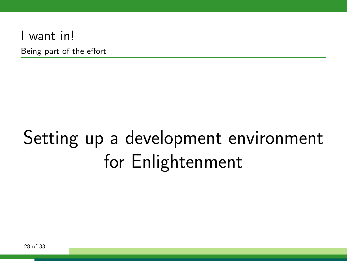### I want in!

Being part of the effort

# Setting up a development environment for Enlightenment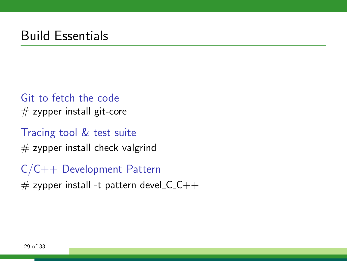## Build Essentials

#### Git to fetch the code  $#$  zypper install git-core

Tracing tool & test suite  $#$  zypper install check valgrind

C/C++ Development Pattern

 $\#$  zypper install -t pattern devel  $C$   $C$  + +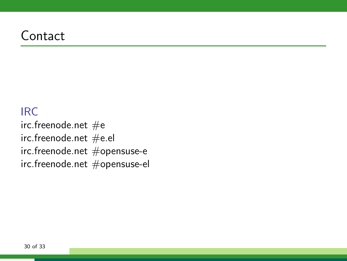## **Contact**

#### IRC

irc.freenode.net  $#e$ irc.freenode.net #e.el irc.freenode.net #opensuse-e irc.freenode.net #opensuse-el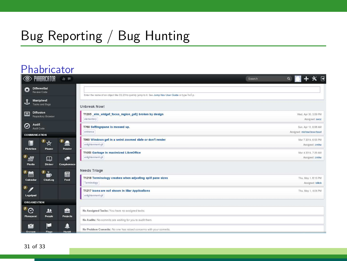# Bug Reporting / Bug Hunting

#### **Phabricator**

| ◉                                  | PHABRICATOR                            | $b \equiv$               | Search                                                                                                                        | $+ \times F$<br>$\alpha$                           |
|------------------------------------|----------------------------------------|--------------------------|-------------------------------------------------------------------------------------------------------------------------------|----------------------------------------------------|
| ٥                                  | <b>Differential</b><br>Review Code     |                          | Enter the name of an object like D123 to guickly lump to it. See Jump Nay User Guide or type help.                            |                                                    |
| J,                                 | Maniphest<br>Tasks and Bugs            |                          | Unbreak Now!                                                                                                                  |                                                    |
| $\overline{\phantom{a}}$           | <b>Diffusion</b><br>Repository Browser |                          | T1205 elm widget focus region get() broken by design<br>obmentary                                                             | Wed. Apr 30, 2:09 PM<br>Assigned: secz             |
| Audit<br>0<br><b>COMMUNICATION</b> | Audit Code                             |                          | T760 Settingspane is messed up.<br>ontrance                                                                                   | Sun, Apr 13, 6:08 AM<br>Assigned: michael.bouchaud |
| <b>Phriction</b>                   | $\mathbf{p}$<br>$\frac{1}{2}$<br>Phame | 2<br>Ponder              | T993 Windows get in a weird zoomed state or don't render<br>enlightenment-git                                                 | Mar 7 2014 6:55 PM<br>Assigned: zmike              |
| B<br>總<br>Pholio                   | $\Box$<br><b>Diviner</b>               | $\bullet$<br>Conpherence | T1053 Garbage in maximized LibreOffice<br>onlightenment-git                                                                   | Mar 4 2014, 7:29 AM<br>Assigned: zmike             |
| Ħ<br>Calendar                      | $^{\circ}$ in<br>ChatLog               | 屈<br>Feed                | <b>Needs Triage</b><br>T1218 Terminology crashes when adjusting split pane sizes<br>Terminology.                              | Thu, May 1, 8:15 PM<br>Assigned: billiob           |
| $\mathbf{p}$<br>Legalpad           |                                        |                          | T1217 Icons are not shown in IBar Applications<br>onlightenment-git                                                           | Thu, May 1, 4:04 PM                                |
| <b>ORGANIZATION</b>                |                                        |                          |                                                                                                                               |                                                    |
| $^{\circ}$ $\odot$<br>Phrequent    | 题<br>People                            | 슬<br><b>Projects</b>     | No Assigned Tasks: You have no assigned tasks.                                                                                |                                                    |
| M<br>Quinesc                       | c<br>Flage                             | O<br><b>Marsht.</b>      | No Audits: No commits are waiting for you to pudit them.<br>No Problem Commits: No one has raised concerns with your commits. |                                                    |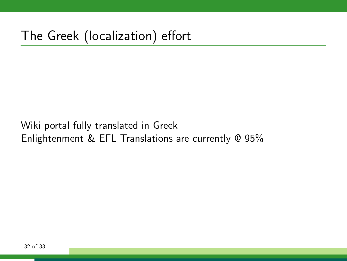Wiki portal fully translated in Greek Enlightenment & EFL Translations are currently @ 95%